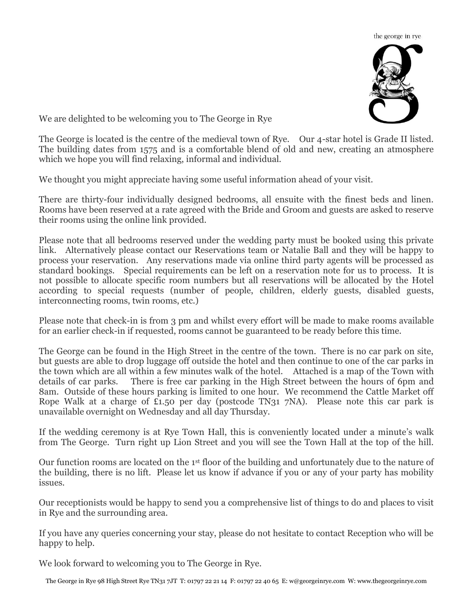

We are delighted to be welcoming you to The George in Rye

The George is located is the centre of the medieval town of Rye. Our 4-star hotel is Grade II listed. The building dates from 1575 and is a comfortable blend of old and new, creating an atmosphere which we hope you will find relaxing, informal and individual.

We thought you might appreciate having some useful information ahead of your visit.

There are thirty-four individually designed bedrooms, all ensuite with the finest beds and linen. Rooms have been reserved at a rate agreed with the Bride and Groom and guests are asked to reserve their rooms using the online link provided.

Please note that all bedrooms reserved under the wedding party must be booked using this private link. Alternatively please contact our Reservations team or Natalie Ball and they will be happy to process your reservation. Any reservations made via online third party agents will be processed as standard bookings. Special requirements can be left on a reservation note for us to process. It is not possible to allocate specific room numbers but all reservations will be allocated by the Hotel according to special requests (number of people, children, elderly guests, disabled guests, interconnecting rooms, twin rooms, etc.)

Please note that check-in is from 3 pm and whilst every effort will be made to make rooms available for an earlier check-in if requested, rooms cannot be guaranteed to be ready before this time.

The George can be found in the High Street in the centre of the town. There is no car park on site, but guests are able to drop luggage off outside the hotel and then continue to one of the car parks in the town which are all within a few minutes walk of the hotel. Attached is a map of the Town with details of car parks. There is free car parking in the High Street between the hours of 6pm and 8am. Outside of these hours parking is limited to one hour. We recommend the Cattle Market off Rope Walk at a charge of £1.50 per day (postcode TN31 7NA). Please note this car park is unavailable overnight on Wednesday and all day Thursday.

If the wedding ceremony is at Rye Town Hall, this is conveniently located under a minute's walk from The George. Turn right up Lion Street and you will see the Town Hall at the top of the hill.

Our function rooms are located on the 1st floor of the building and unfortunately due to the nature of the building, there is no lift. Please let us know if advance if you or any of your party has mobility issues.

Our receptionists would be happy to send you a comprehensive list of things to do and places to visit in Rye and the surrounding area.

If you have any queries concerning your stay, please do not hesitate to contact Reception who will be happy to help.

We look forward to welcoming you to The George in Rye.

The George in Rye 98 High Street Rye TN31 7JT T: 01797 22 21 14 F: 01797 22 40 65 E: w@georgeinrye.com W: www.thegeorgeinrye.com